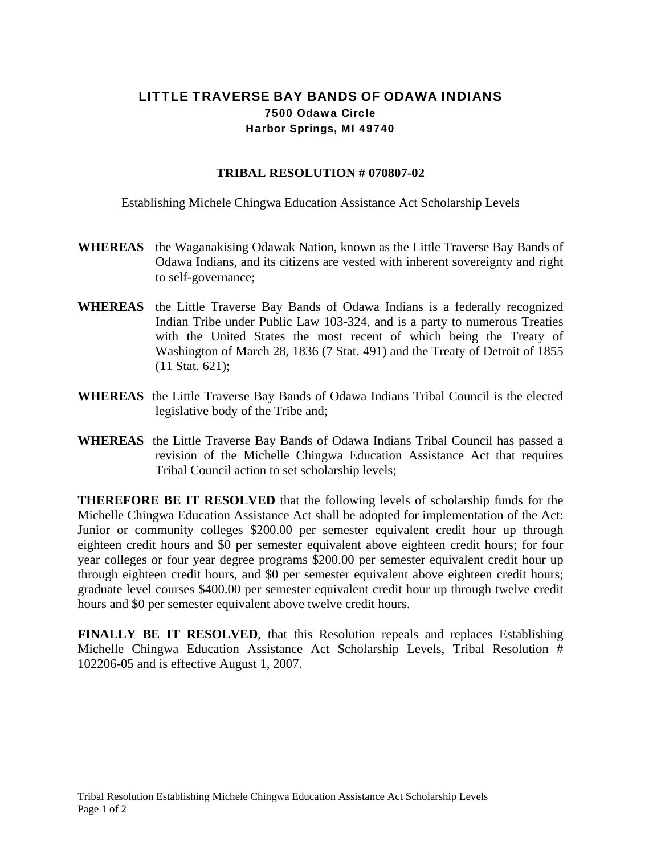## LITTLE TRAVERSE BAY BANDS OF ODAWA INDIANS 7500 Odawa Circle Harbor Springs, MI 49740

## **TRIBAL RESOLUTION # 070807-02**

Establishing Michele Chingwa Education Assistance Act Scholarship Levels

- **WHEREAS** the Waganakising Odawak Nation, known as the Little Traverse Bay Bands of Odawa Indians, and its citizens are vested with inherent sovereignty and right to self-governance;
- **WHEREAS** the Little Traverse Bay Bands of Odawa Indians is a federally recognized Indian Tribe under Public Law 103-324, and is a party to numerous Treaties with the United States the most recent of which being the Treaty of Washington of March 28, 1836 (7 Stat. 491) and the Treaty of Detroit of 1855 (11 Stat. 621);
- **WHEREAS** the Little Traverse Bay Bands of Odawa Indians Tribal Council is the elected legislative body of the Tribe and;
- **WHEREAS** the Little Traverse Bay Bands of Odawa Indians Tribal Council has passed a revision of the Michelle Chingwa Education Assistance Act that requires Tribal Council action to set scholarship levels;

**THEREFORE BE IT RESOLVED** that the following levels of scholarship funds for the Michelle Chingwa Education Assistance Act shall be adopted for implementation of the Act: Junior or community colleges \$200.00 per semester equivalent credit hour up through eighteen credit hours and \$0 per semester equivalent above eighteen credit hours; for four year colleges or four year degree programs \$200.00 per semester equivalent credit hour up through eighteen credit hours, and \$0 per semester equivalent above eighteen credit hours; graduate level courses \$400.00 per semester equivalent credit hour up through twelve credit hours and \$0 per semester equivalent above twelve credit hours.

**FINALLY BE IT RESOLVED**, that this Resolution repeals and replaces Establishing Michelle Chingwa Education Assistance Act Scholarship Levels, Tribal Resolution # 102206-05 and is effective August 1, 2007.